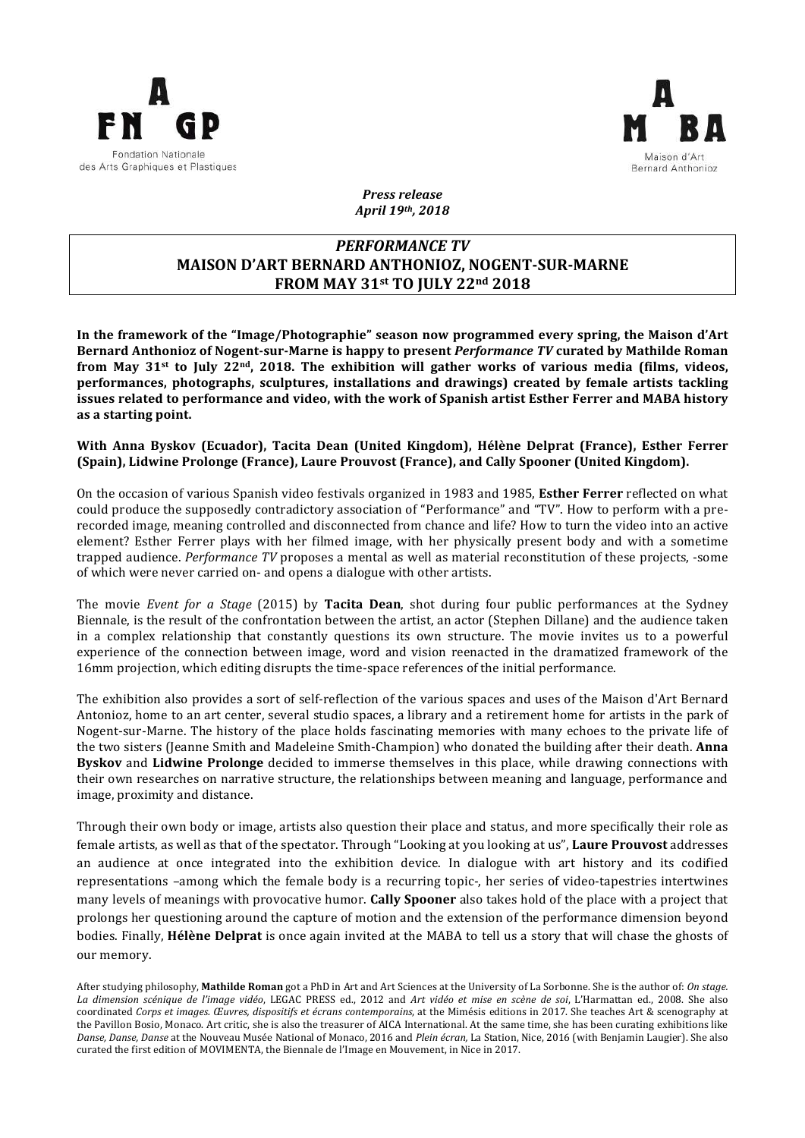



*Press release April 19th, 2018*

# *PERFORMANCE TV* **MAISON D'ART BERNARD ANTHONIOZ, NOGENT-SUR-MARNE FROM MAY 31st TO JULY 22nd 2018**

In the framework of the "Image/Photographie" season now programmed every spring, the Maison d'Art Bernard Anthonioz of Nogent-sur-Marne is happy to present *Performance TV* curated by Mathilde Roman from May 31<sup>st</sup> to July 22<sup>nd</sup>, 2018. The exhibition will gather works of various media (films, videos, **performances, photographs, sculptures, installations and drawings) created by female artists tackling issues related to performance and video, with the work of Spanish artist Esther Ferrer and MABA history** as a starting point.

## **With Anna Byskov (Ecuador), Tacita Dean (United Kingdom), Hélène Delprat (France), Esther Ferrer (Spain), Lidwine Prolonge (France), Laure Prouvost (France), and Cally Spooner (United Kingdom).**

On the occasion of various Spanish video festivals organized in 1983 and 1985. **Esther Ferrer** reflected on what could produce the supposedly contradictory association of "Performance" and "TV". How to perform with a prerecorded image, meaning controlled and disconnected from chance and life? How to turn the video into an active element? Esther Ferrer plays with her filmed image, with her physically present body and with a sometime trapped audience. *Performance TV* proposes a mental as well as material reconstitution of these projects, -some of which were never carried on- and opens a dialogue with other artists.

The movie *Event for a Stage* (2015) by **Tacita Dean**, shot during four public performances at the Sydney Biennale, is the result of the confrontation between the artist, an actor (Stephen Dillane) and the audience taken in a complex relationship that constantly questions its own structure. The movie invites us to a powerful experience of the connection between image, word and vision reenacted in the dramatized framework of the 16mm projection, which editing disrupts the time-space references of the initial performance.

The exhibition also provides a sort of self-reflection of the various spaces and uses of the Maison d'Art Bernard Antonioz, home to an art center, several studio spaces, a library and a retirement home for artists in the park of Nogent-sur-Marne. The history of the place holds fascinating memories with many echoes to the private life of the two sisters (Jeanne Smith and Madeleine Smith-Champion) who donated the building after their death. **Anna Byskov** and **Lidwine Prolonge** decided to immerse themselves in this place, while drawing connections with their own researches on narrative structure, the relationships between meaning and language, performance and image, proximity and distance.

Through their own body or image, artists also question their place and status, and more specifically their role as female artists, as well as that of the spectator. Through "Looking at you looking at us", **Laure Prouvost** addresses an audience at once integrated into the exhibition device. In dialogue with art history and its codified representations –among which the female body is a recurring topic-, her series of video-tapestries intertwines many levels of meanings with provocative humor. **Cally Spooner** also takes hold of the place with a project that prolongs her questioning around the capture of motion and the extension of the performance dimension beyond bodies. Finally, Hélène Delprat is once again invited at the MABA to tell us a story that will chase the ghosts of our memory.

After studying philosophy. **Mathilde Roman** got a PhD in Art and Art Sciences at the University of La Sorbonne. She is the author of: *On stage. La dimension scénique de l'image vidéo*, LEGAC PRESS ed., 2012 and *Art vidéo et mise en scène de soi*, L'Harmattan ed., 2008. She also coordinated Corps et images. Œuvres, dispositifs et écrans contemporains, at the Mimésis editions in 2017. She teaches Art & scenography at the Pavillon Bosio, Monaco. Art critic, she is also the treasurer of AICA International. At the same time, she has been curating exhibitions like Danse, Danse, Danse at the Nouveau Musée National of Monaco, 2016 and *Plein écran*, La Station, Nice, 2016 (with Benjamin Laugier). She also curated the first edition of MOVIMENTA, the Biennale de l'Image en Mouvement, in Nice in 2017.